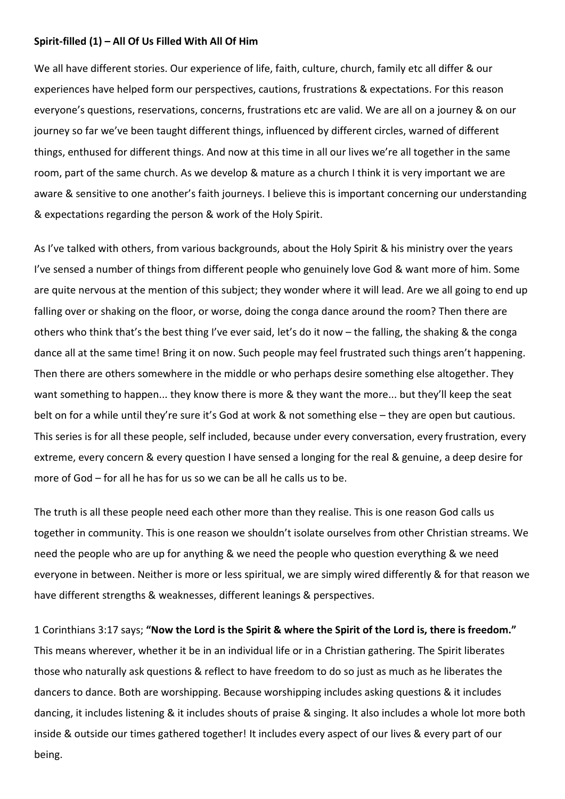## **Spirit-filled (1) – All Of Us Filled With All Of Him**

We all have different stories. Our experience of life, faith, culture, church, family etc all differ & our experiences have helped form our perspectives, cautions, frustrations & expectations. For this reason everyone's questions, reservations, concerns, frustrations etc are valid. We are all on a journey & on our journey so far we've been taught different things, influenced by different circles, warned of different things, enthused for different things. And now at this time in all our lives we're all together in the same room, part of the same church. As we develop & mature as a church I think it is very important we are aware & sensitive to one another's faith journeys. I believe this is important concerning our understanding & expectations regarding the person & work of the Holy Spirit.

As I've talked with others, from various backgrounds, about the Holy Spirit & his ministry over the years I've sensed a number of things from different people who genuinely love God & want more of him. Some are quite nervous at the mention of this subject; they wonder where it will lead. Are we all going to end up falling over or shaking on the floor, or worse, doing the conga dance around the room? Then there are others who think that's the best thing I've ever said, let's do it now – the falling, the shaking & the conga dance all at the same time! Bring it on now. Such people may feel frustrated such things aren't happening. Then there are others somewhere in the middle or who perhaps desire something else altogether. They want something to happen... they know there is more & they want the more... but they'll keep the seat belt on for a while until they're sure it's God at work & not something else – they are open but cautious. This series is for all these people, self included, because under every conversation, every frustration, every extreme, every concern & every question I have sensed a longing for the real & genuine, a deep desire for more of God – for all he has for us so we can be all he calls us to be.

The truth is all these people need each other more than they realise. This is one reason God calls us together in community. This is one reason we shouldn't isolate ourselves from other Christian streams. We need the people who are up for anything & we need the people who question everything & we need everyone in between. Neither is more or less spiritual, we are simply wired differently & for that reason we have different strengths & weaknesses, different leanings & perspectives.

1 Corinthians 3:17 says; **"Now the Lord is the Spirit & where the Spirit of the Lord is, there is freedom."** This means wherever, whether it be in an individual life or in a Christian gathering. The Spirit liberates those who naturally ask questions & reflect to have freedom to do so just as much as he liberates the dancers to dance. Both are worshipping. Because worshipping includes asking questions & it includes dancing, it includes listening & it includes shouts of praise & singing. It also includes a whole lot more both inside & outside our times gathered together! It includes every aspect of our lives & every part of our being.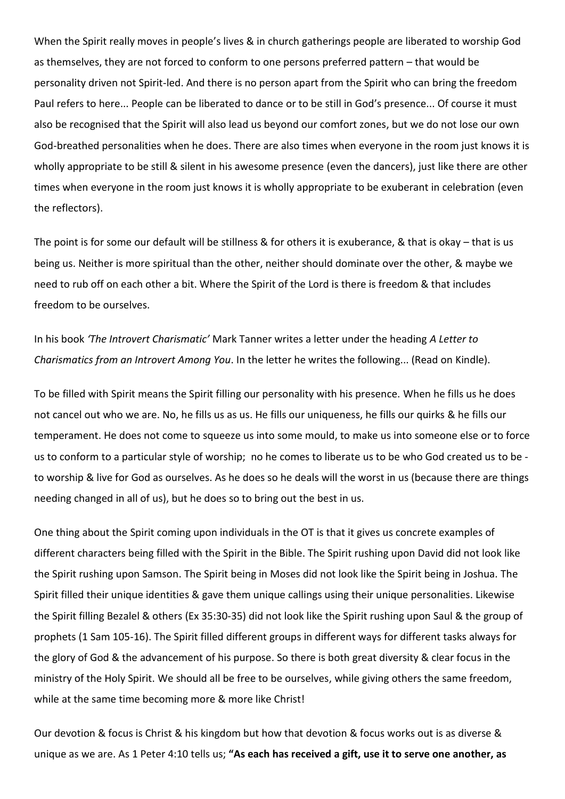When the Spirit really moves in people's lives & in church gatherings people are liberated to worship God as themselves, they are not forced to conform to one persons preferred pattern – that would be personality driven not Spirit-led. And there is no person apart from the Spirit who can bring the freedom Paul refers to here... People can be liberated to dance or to be still in God's presence... Of course it must also be recognised that the Spirit will also lead us beyond our comfort zones, but we do not lose our own God-breathed personalities when he does. There are also times when everyone in the room just knows it is wholly appropriate to be still & silent in his awesome presence (even the dancers), just like there are other times when everyone in the room just knows it is wholly appropriate to be exuberant in celebration (even the reflectors).

The point is for some our default will be stillness & for others it is exuberance, & that is okay – that is us being us. Neither is more spiritual than the other, neither should dominate over the other, & maybe we need to rub off on each other a bit. Where the Spirit of the Lord is there is freedom & that includes freedom to be ourselves.

In his book *'The Introvert Charismatic'* Mark Tanner writes a letter under the heading *A Letter to Charismatics from an Introvert Among You*. In the letter he writes the following... (Read on Kindle).

To be filled with Spirit means the Spirit filling our personality with his presence. When he fills us he does not cancel out who we are. No, he fills us as us. He fills our uniqueness, he fills our quirks & he fills our temperament. He does not come to squeeze us into some mould, to make us into someone else or to force us to conform to a particular style of worship; no he comes to liberate us to be who God created us to be to worship & live for God as ourselves. As he does so he deals will the worst in us (because there are things needing changed in all of us), but he does so to bring out the best in us.

One thing about the Spirit coming upon individuals in the OT is that it gives us concrete examples of different characters being filled with the Spirit in the Bible. The Spirit rushing upon David did not look like the Spirit rushing upon Samson. The Spirit being in Moses did not look like the Spirit being in Joshua. The Spirit filled their unique identities & gave them unique callings using their unique personalities. Likewise the Spirit filling Bezalel & others (Ex 35:30-35) did not look like the Spirit rushing upon Saul & the group of prophets (1 Sam 105-16). The Spirit filled different groups in different ways for different tasks always for the glory of God & the advancement of his purpose. So there is both great diversity & clear focus in the ministry of the Holy Spirit. We should all be free to be ourselves, while giving others the same freedom, while at the same time becoming more & more like Christ!

Our devotion & focus is Christ & his kingdom but how that devotion & focus works out is as diverse & unique as we are. As 1 Peter 4:10 tells us; **"As each has received a gift, use it to serve one another, as**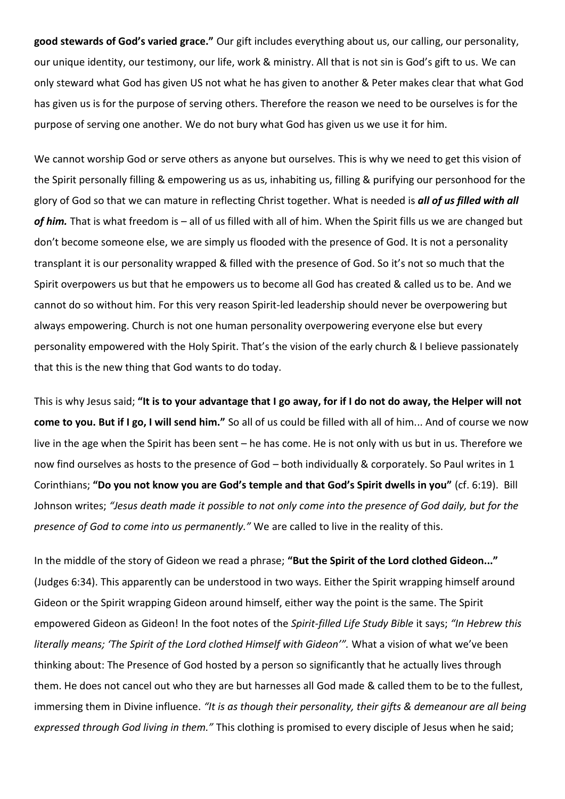**good stewards of God's varied grace."** Our gift includes everything about us, our calling, our personality, our unique identity, our testimony, our life, work & ministry. All that is not sin is God's gift to us. We can only steward what God has given US not what he has given to another & Peter makes clear that what God has given us is for the purpose of serving others. Therefore the reason we need to be ourselves is for the purpose of serving one another. We do not bury what God has given us we use it for him.

We cannot worship God or serve others as anyone but ourselves. This is why we need to get this vision of the Spirit personally filling & empowering us as us, inhabiting us, filling & purifying our personhood for the glory of God so that we can mature in reflecting Christ together. What is needed is *all of us filled with all of him.* That is what freedom is – all of us filled with all of him. When the Spirit fills us we are changed but don't become someone else, we are simply us flooded with the presence of God. It is not a personality transplant it is our personality wrapped & filled with the presence of God. So it's not so much that the Spirit overpowers us but that he empowers us to become all God has created & called us to be. And we cannot do so without him. For this very reason Spirit-led leadership should never be overpowering but always empowering. Church is not one human personality overpowering everyone else but every personality empowered with the Holy Spirit. That's the vision of the early church & I believe passionately that this is the new thing that God wants to do today.

This is why Jesus said; **"It is to your advantage that I go away, for if I do not do away, the Helper will not come to you. But if I go, I will send him."** So all of us could be filled with all of him... And of course we now live in the age when the Spirit has been sent – he has come. He is not only with us but in us. Therefore we now find ourselves as hosts to the presence of God – both individually & corporately. So Paul writes in 1 Corinthians; **"Do you not know you are God's temple and that God's Spirit dwells in you"** (cf. 6:19). Bill Johnson writes; *"Jesus death made it possible to not only come into the presence of God daily, but for the presence of God to come into us permanently."* We are called to live in the reality of this.

In the middle of the story of Gideon we read a phrase; **"But the Spirit of the Lord clothed Gideon..."**  (Judges 6:34). This apparently can be understood in two ways. Either the Spirit wrapping himself around Gideon or the Spirit wrapping Gideon around himself, either way the point is the same. The Spirit empowered Gideon as Gideon! In the foot notes of the *Spirit-filled Life Study Bible* it says; *"In Hebrew this literally means; 'The Spirit of the Lord clothed Himself with Gideon'".* What a vision of what we've been thinking about: The Presence of God hosted by a person so significantly that he actually lives through them. He does not cancel out who they are but harnesses all God made & called them to be to the fullest, immersing them in Divine influence. *"It is as though their personality, their gifts & demeanour are all being expressed through God living in them."* This clothing is promised to every disciple of Jesus when he said;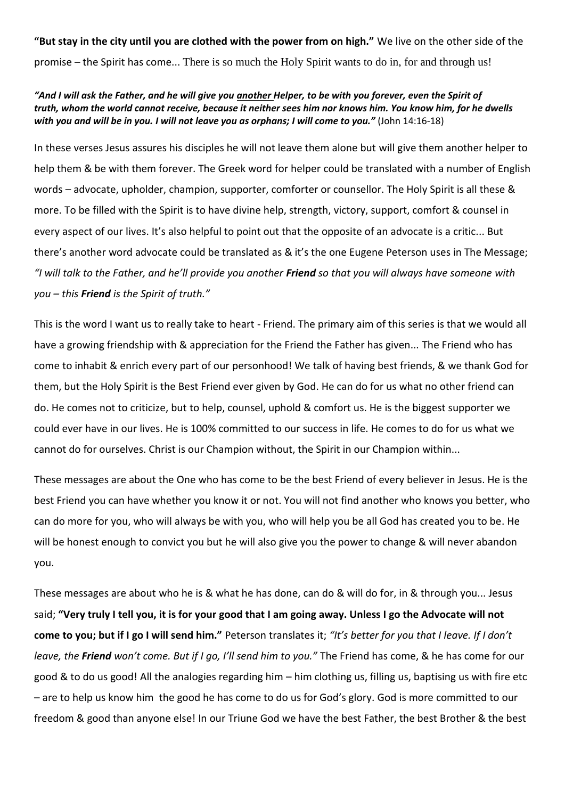**"But stay in the city until you are clothed with the power from on high."** We live on the other side of the promise – the Spirit has come... There is so much the Holy Spirit wants to do in, for and through us!

## *"And I will ask the Father, and he will give you another Helper, to be with you forever, even the Spirit of truth, whom the world cannot receive, because it neither sees him nor knows him. You know him, for he dwells with you and will be in you. I will not leave you as orphans; I will come to you."* (John 14:16-18)

In these verses Jesus assures his disciples he will not leave them alone but will give them another helper to help them & be with them forever. The Greek word for helper could be translated with a number of English words – advocate, upholder, champion, supporter, comforter or counsellor. The Holy Spirit is all these & more. To be filled with the Spirit is to have divine help, strength, victory, support, comfort & counsel in every aspect of our lives. It's also helpful to point out that the opposite of an advocate is a critic... But there's another word advocate could be translated as & it's the one Eugene Peterson uses in The Message; *"I will talk to the Father, and he'll provide you another Friend so that you will always have someone with you – this Friend is the Spirit of truth."*

This is the word I want us to really take to heart - Friend. The primary aim of this series is that we would all have a growing friendship with & appreciation for the Friend the Father has given... The Friend who has come to inhabit & enrich every part of our personhood! We talk of having best friends, & we thank God for them, but the Holy Spirit is the Best Friend ever given by God. He can do for us what no other friend can do. He comes not to criticize, but to help, counsel, uphold & comfort us. He is the biggest supporter we could ever have in our lives. He is 100% committed to our success in life. He comes to do for us what we cannot do for ourselves. Christ is our Champion without, the Spirit in our Champion within...

These messages are about the One who has come to be the best Friend of every believer in Jesus. He is the best Friend you can have whether you know it or not. You will not find another who knows you better, who can do more for you, who will always be with you, who will help you be all God has created you to be. He will be honest enough to convict you but he will also give you the power to change & will never abandon you.

These messages are about who he is & what he has done, can do & will do for, in & through you... Jesus said; **"Very truly I tell you, it is for your good that I am going away. Unless I go the Advocate will not come to you; but if I go I will send him."** Peterson translates it; *"It's better for you that I leave. If I don't leave, the Friend won't come. But if I go, I'll send him to you."* The Friend has come, & he has come for our good & to do us good! All the analogies regarding him – him clothing us, filling us, baptising us with fire etc – are to help us know him the good he has come to do us for God's glory. God is more committed to our freedom & good than anyone else! In our Triune God we have the best Father, the best Brother & the best